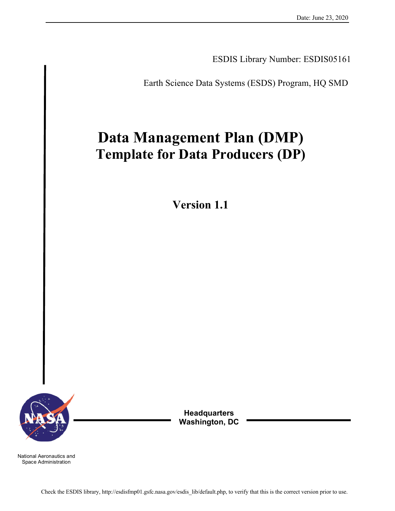ESDIS Library Number: ESDIS05161

Earth Science Data Systems (ESDS) Program, HQ SMD

# **Data Management Plan (DMP) Template for Data Producers (DP)**

**Version 1.1**



**Headquarters Washington, DC**

National Aeronautics and Space Administration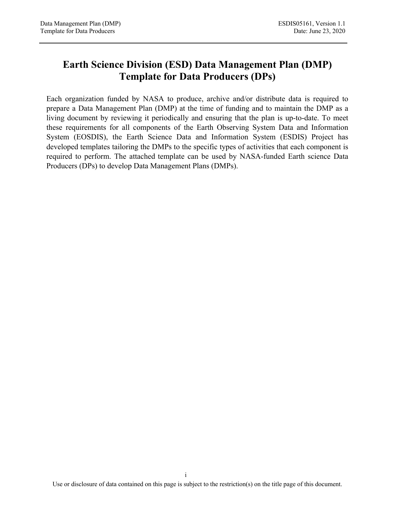# **Earth Science Division (ESD) Data Management Plan (DMP) Template for Data Producers (DPs)**

Each organization funded by NASA to produce, archive and/or distribute data is required to prepare a Data Management Plan (DMP) at the time of funding and to maintain the DMP as a living document by reviewing it periodically and ensuring that the plan is up-to-date. To meet these requirements for all components of the Earth Observing System Data and Information System (EOSDIS), the Earth Science Data and Information System (ESDIS) Project has developed templates tailoring the DMPs to the specific types of activities that each component is required to perform. The attached template can be used by NASA-funded Earth science Data Producers (DPs) to develop Data Management Plans (DMPs).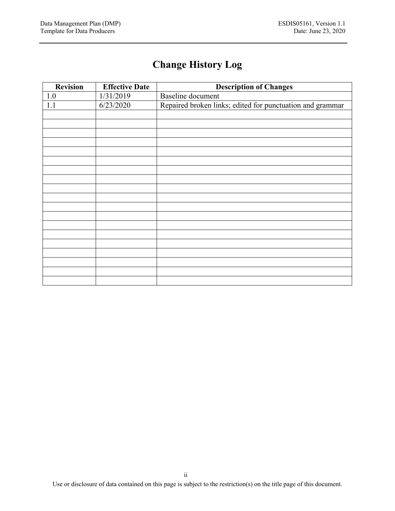# **Change History Log**

| <b>Revision</b> | <b>Effective Date</b> | <b>Description of Changes</b>                             |
|-----------------|-----------------------|-----------------------------------------------------------|
| 1.0             | 1/31/2019             | <b>Baseline</b> document                                  |
| 1.1             | 6/23/2020             | Repaired broken links; edited for punctuation and grammar |
|                 |                       |                                                           |
|                 |                       |                                                           |
|                 |                       |                                                           |
|                 |                       |                                                           |
|                 |                       |                                                           |
|                 |                       |                                                           |
|                 |                       |                                                           |
|                 |                       |                                                           |
|                 |                       |                                                           |
|                 |                       |                                                           |
|                 |                       |                                                           |
|                 |                       |                                                           |
|                 |                       |                                                           |
|                 |                       |                                                           |
|                 |                       |                                                           |
|                 |                       |                                                           |
|                 |                       |                                                           |
|                 |                       |                                                           |
|                 |                       |                                                           |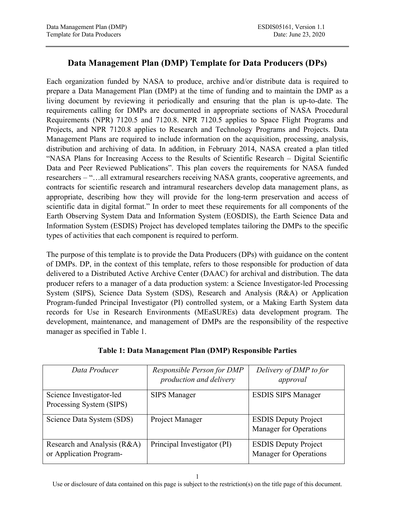### **Data Management Plan (DMP) Template for Data Producers (DPs)**

Each organization funded by NASA to produce, archive and/or distribute data is required to prepare a Data Management Plan (DMP) at the time of funding and to maintain the DMP as a living document by reviewing it periodically and ensuring that the plan is up-to-date. The requirements calling for DMPs are documented in appropriate sections of NASA Procedural Requirements (NPR) 7120.5 and 7120.8. NPR 7120.5 applies to Space Flight Programs and Projects, and NPR 7120.8 applies to Research and Technology Programs and Projects. Data Management Plans are required to include information on the acquisition, processing, analysis, distribution and archiving of data. In addition, in February 2014, NASA created a plan titled "NASA Plans for Increasing Access to the Results of Scientific Research – Digital Scientific Data and Peer Reviewed Publications". This plan covers the requirements for NASA funded researchers – "…all extramural researchers receiving NASA grants, cooperative agreements, and contracts for scientific research and intramural researchers develop data management plans, as appropriate, describing how they will provide for the long-term preservation and access of scientific data in digital format." In order to meet these requirements for all components of the Earth Observing System Data and Information System (EOSDIS), the Earth Science Data and Information System (ESDIS) Project has developed templates tailoring the DMPs to the specific types of activities that each component is required to perform.

The purpose of this template is to provide the Data Producers (DPs) with guidance on the content of DMPs. DP, in the context of this template, refers to those responsible for production of data delivered to a Distributed Active Archive Center (DAAC) for archival and distribution. The data producer refers to a manager of a data production system: a Science Investigator-led Processing System (SIPS), Science Data System (SDS), Research and Analysis (R&A) or Application Program-funded Principal Investigator (PI) controlled system, or a Making Earth System data records for Use in Research Environments (MEaSUREs) data development program. The development, maintenance, and management of DMPs are the responsibility of the respective manager as specified in Table 1.

| Data Producer                                          | Responsible Person for DMP<br>production and delivery | Delivery of DMP to for<br>approval                           |
|--------------------------------------------------------|-------------------------------------------------------|--------------------------------------------------------------|
| Science Investigator-led<br>Processing System (SIPS)   | <b>SIPS Manager</b>                                   | <b>ESDIS SIPS Manager</b>                                    |
| Science Data System (SDS)                              | Project Manager                                       | <b>ESDIS Deputy Project</b><br><b>Manager for Operations</b> |
| Research and Analysis (R&A)<br>or Application Program- | Principal Investigator (PI)                           | <b>ESDIS Deputy Project</b><br><b>Manager for Operations</b> |

#### **Table 1: Data Management Plan (DMP) Responsible Parties**

Use or disclosure of data contained on this page is subject to the restriction(s) on the title page of this document.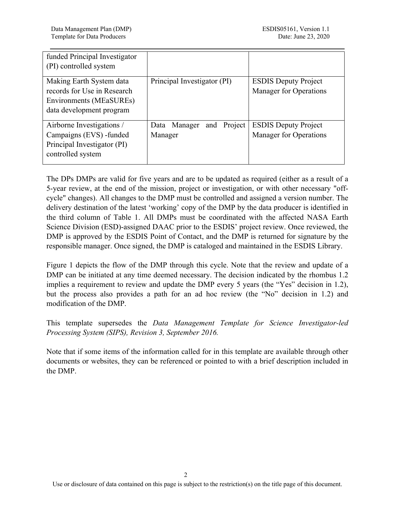| funded Principal Investigator<br>(PI) controlled system                                                               |                                        |                                                              |
|-----------------------------------------------------------------------------------------------------------------------|----------------------------------------|--------------------------------------------------------------|
| Making Earth System data<br>records for Use in Research<br><b>Environments (MEaSUREs)</b><br>data development program | Principal Investigator (PI)            | <b>ESDIS Deputy Project</b><br>Manager for Operations        |
| Airborne Investigations /<br>Campaigns (EVS) -funded<br>Principal Investigator (PI)<br>controlled system              | and Project<br>Data Manager<br>Manager | <b>ESDIS Deputy Project</b><br><b>Manager for Operations</b> |

The DPs DMPs are valid for five years and are to be updated as required (either as a result of a 5-year review, at the end of the mission, project or investigation, or with other necessary "offcycle" changes). All changes to the DMP must be controlled and assigned a version number. The delivery destination of the latest 'working' copy of the DMP by the data producer is identified in the third column of Table 1. All DMPs must be coordinated with the affected NASA Earth Science Division (ESD)-assigned DAAC prior to the ESDIS' project review. Once reviewed, the DMP is approved by the ESDIS Point of Contact, and the DMP is returned for signature by the responsible manager. Once signed, the DMP is cataloged and maintained in the ESDIS Library.

Figure 1 depicts the flow of the DMP through this cycle. Note that the review and update of a DMP can be initiated at any time deemed necessary. The decision indicated by the rhombus 1.2 implies a requirement to review and update the DMP every 5 years (the "Yes" decision in 1.2), but the process also provides a path for an ad hoc review (the "No" decision in 1.2) and modification of the DMP.

This template supersedes the *Data Management Template for Science Investigator-led Processing System (SIPS), Revision 3, September 2016.* 

Note that if some items of the information called for in this template are available through other documents or websites, they can be referenced or pointed to with a brief description included in the DMP.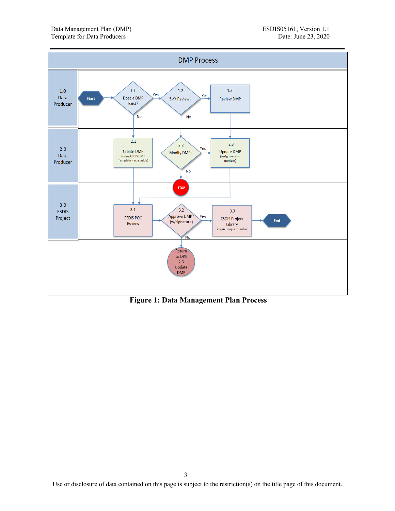

**Figure 1: Data Management Plan Process**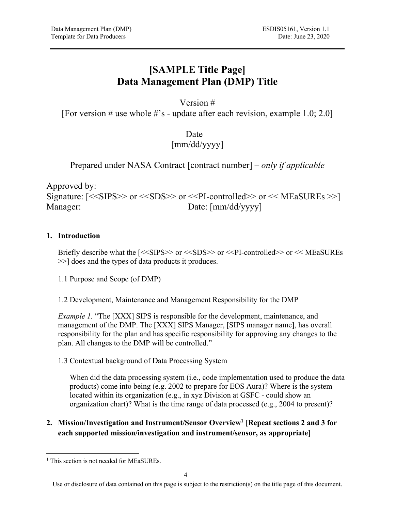# **[SAMPLE Title Page] Data Management Plan (DMP) Title**

#### Version #

[For version # use whole #'s - update after each revision, example 1.0; 2.0]

Date [mm/dd/yyyy]

Prepared under NASA Contract [contract number] – *only if applicable*

Approved by: Signature:  $\leq$   $\leq$ SIPS $>$  or  $\leq$ SDS $>$  or  $\leq$ PI-controlled $>$  or  $\leq$  MEaSUREs $>$ ] Manager: Date: [mm/dd/yyyy]

#### **1. Introduction**

Briefly describe what the [<<SIPS>> or <<SDS>> or <<PI-controlled>> or << MEaSUREs >>] does and the types of data products it produces.

1.1 Purpose and Scope (of DMP)

1.2 Development, Maintenance and Management Responsibility for the DMP

*Example 1.* "The [XXX] SIPS is responsible for the development, maintenance, and management of the DMP. The [XXX] SIPS Manager, [SIPS manager name], has overall responsibility for the plan and has specific responsibility for approving any changes to the plan. All changes to the DMP will be controlled."

#### 1.3 Contextual background of Data Processing System

When did the data processing system (i.e., code implementation used to produce the data products) come into being (e.g. 2002 to prepare for EOS Aura)? Where is the system located within its organization (e.g., in xyz Division at GSFC - could show an organization chart)? What is the time range of data processed (e.g., 2004 to present)?

#### **2. Mission/Investigation and Instrument/Sensor Overview1 [Repeat sections 2 and 3 for each supported mission/investigation and instrument/sensor, as appropriate]**

<sup>&</sup>lt;sup>1</sup> This section is not needed for MEaSUREs.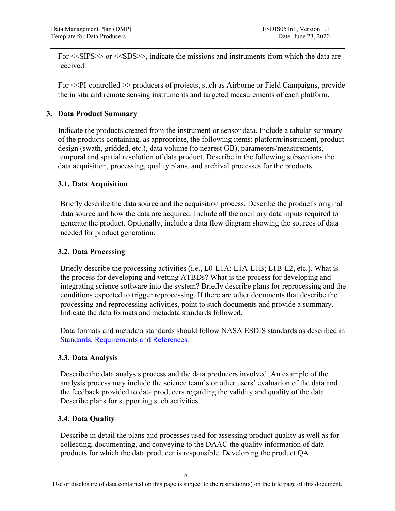For <<SIPS>> or <<SDS>>, indicate the missions and instruments from which the data are received.

For <<PI-controlled >> producers of projects, such as Airborne or Field Campaigns, provide the in situ and remote sensing instruments and targeted measurements of each platform.

#### **3. Data Product Summary**

Indicate the products created from the instrument or sensor data. Include a tabular summary of the products containing, as appropriate, the following items: platform/instrument, product design (swath, gridded, etc.), data volume (to nearest GB), parameters/measurements, temporal and spatial resolution of data product. Describe in the following subsections the data acquisition, processing, quality plans, and archival processes for the products.

#### **3.1. Data Acquisition**

Briefly describe the data source and the acquisition process. Describe the product's original data source and how the data are acquired. Include all the ancillary data inputs required to generate the product. Optionally, include a data flow diagram showing the sources of data needed for product generation.

#### **3.2. Data Processing**

Briefly describe the processing activities (i.e., L0-L1A; L1A-L1B; L1B-L2, etc.). What is the process for developing and vetting ATBDs? What is the process for developing and integrating science software into the system? Briefly describe plans for reprocessing and the conditions expected to trigger reprocessing. If there are other documents that describe the processing and reprocessing activities, point to such documents and provide a summary. Indicate the data formats and metadata standards followed.

Data formats and metadata standards should follow NASA ESDIS standards as described in Standards, Requirements and References.

#### **3.3. Data Analysis**

Describe the data analysis process and the data producers involved. An example of the analysis process may include the science team's or other users' evaluation of the data and the feedback provided to data producers regarding the validity and quality of the data. Describe plans for supporting such activities.

#### **3.4. Data Quality**

Describe in detail the plans and processes used for assessing product quality as well as for collecting, documenting, and conveying to the DAAC the quality information of data products for which the data producer is responsible. Developing the product QA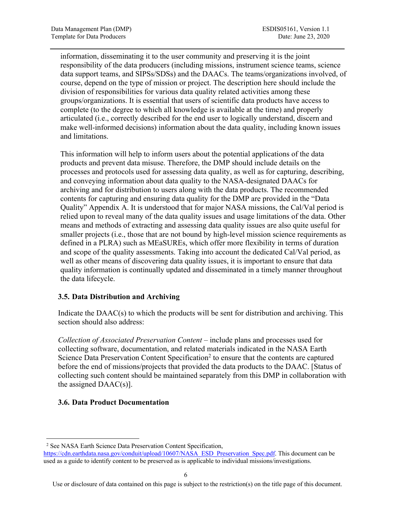information, disseminating it to the user community and preserving it is the joint responsibility of the data producers (including missions, instrument science teams, science data support teams, and SIPSs/SDSs) and the DAACs. The teams/organizations involved, of course, depend on the type of mission or project. The description here should include the division of responsibilities for various data quality related activities among these groups/organizations. It is essential that users of scientific data products have access to complete (to the degree to which all knowledge is available at the time) and properly articulated (i.e., correctly described for the end user to logically understand, discern and make well-informed decisions) information about the data quality, including known issues and limitations.

This information will help to inform users about the potential applications of the data products and prevent data misuse. Therefore, the DMP should include details on the processes and protocols used for assessing data quality, as well as for capturing, describing, and conveying information about data quality to the NASA-designated DAACs for archiving and for distribution to users along with the data products. The recommended contents for capturing and ensuring data quality for the DMP are provided in the "Data Quality" Appendix A. It is understood that for major NASA missions, the Cal/Val period is relied upon to reveal many of the data quality issues and usage limitations of the data. Other means and methods of extracting and assessing data quality issues are also quite useful for smaller projects (i.e., those that are not bound by high-level mission science requirements as defined in a PLRA) such as MEaSUREs, which offer more flexibility in terms of duration and scope of the quality assessments. Taking into account the dedicated Cal/Val period, as well as other means of discovering data quality issues, it is important to ensure that data quality information is continually updated and disseminated in a timely manner throughout the data lifecycle.

#### **3.5. Data Distribution and Archiving**

Indicate the DAAC(s) to which the products will be sent for distribution and archiving. This section should also address:

*Collection of Associated Preservation Content* – include plans and processes used for collecting software, documentation, and related materials indicated in the NASA Earth Science Data Preservation Content Specification<sup>2</sup> to ensure that the contents are captured before the end of missions/projects that provided the data products to the DAAC. [Status of collecting such content should be maintained separately from this DMP in collaboration with the assigned  $DAAC(s)$ ].

#### **3.6. Data Product Documentation**

<sup>2</sup> See NASA Earth Science Data Preservation Content Specification,

https://cdn.earthdata.nasa.gov/conduit/upload/10607/NASA\_ESD\_Preservation\_Spec.pdf. This document can be used as a guide to identify content to be preserved as is applicable to individual missions/investigations.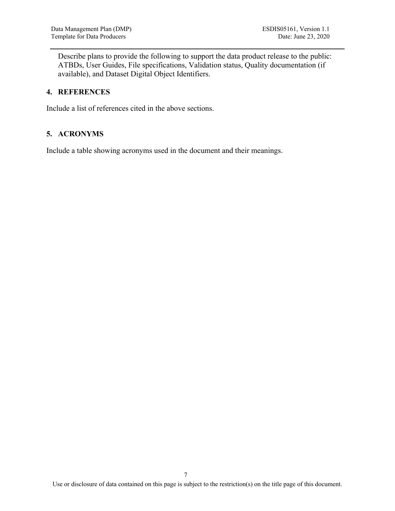Describe plans to provide the following to support the data product release to the public: ATBDs, User Guides, File specifications, Validation status, Quality documentation (if available), and Dataset Digital Object Identifiers.

#### **4. REFERENCES**

Include a list of references cited in the above sections.

#### **5. ACRONYMS**

Include a table showing acronyms used in the document and their meanings.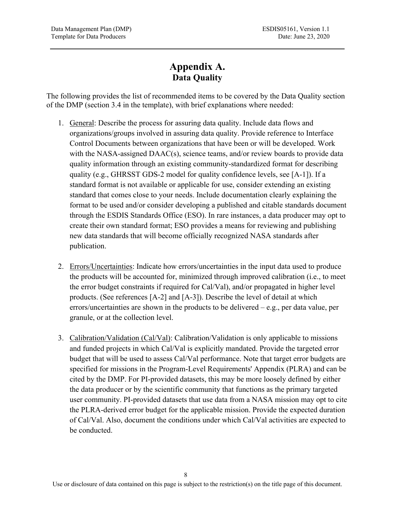## **Appendix A. Data Quality**

The following provides the list of recommended items to be covered by the Data Quality section of the DMP (section 3.4 in the template), with brief explanations where needed:

- 1. General: Describe the process for assuring data quality. Include data flows and organizations/groups involved in assuring data quality. Provide reference to Interface Control Documents between organizations that have been or will be developed. Work with the NASA-assigned DAAC(s), science teams, and/or review boards to provide data quality information through an existing community-standardized format for describing quality (e.g., GHRSST GDS-2 model for quality confidence levels, see [A-1]). If a standard format is not available or applicable for use, consider extending an existing standard that comes close to your needs. Include documentation clearly explaining the format to be used and/or consider developing a published and citable standards document through the ESDIS Standards Office (ESO). In rare instances, a data producer may opt to create their own standard format; ESO provides a means for reviewing and publishing new data standards that will become officially recognized NASA standards after publication.
- 2. Errors/Uncertainties: Indicate how errors/uncertainties in the input data used to produce the products will be accounted for, minimized through improved calibration (i.e., to meet the error budget constraints if required for Cal/Val), and/or propagated in higher level products. (See references [A-2] and [A-3]). Describe the level of detail at which errors/uncertainties are shown in the products to be delivered – e.g., per data value, per granule, or at the collection level.
- 3. Calibration/Validation (Cal/Val): Calibration/Validation is only applicable to missions and funded projects in which Cal/Val is explicitly mandated. Provide the targeted error budget that will be used to assess Cal/Val performance. Note that target error budgets are specified for missions in the Program-Level Requirements' Appendix (PLRA) and can be cited by the DMP. For PI-provided datasets, this may be more loosely defined by either the data producer or by the scientific community that functions as the primary targeted user community. PI-provided datasets that use data from a NASA mission may opt to cite the PLRA-derived error budget for the applicable mission. Provide the expected duration of Cal/Val. Also, document the conditions under which Cal/Val activities are expected to be conducted.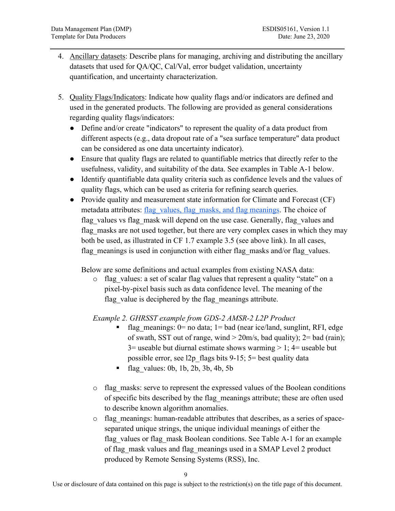- 4. Ancillary datasets: Describe plans for managing, archiving and distributing the ancillary datasets that used for QA/QC, Cal/Val, error budget validation, uncertainty quantification, and uncertainty characterization.
- 5. Quality Flags/Indicators: Indicate how quality flags and/or indicators are defined and used in the generated products. The following are provided as general considerations regarding quality flags/indicators:
	- Define and/or create "indicators" to represent the quality of a data product from different aspects (e.g., data dropout rate of a "sea surface temperature" data product can be considered as one data uncertainty indicator).
	- Ensure that quality flags are related to quantifiable metrics that directly refer to the usefulness, validity, and suitability of the data. See examples in Table A-1 below.
	- Identify quantifiable data quality criteria such as confidence levels and the values of quality flags, which can be used as criteria for refining search queries.
	- Provide quality and measurement state information for Climate and Forecast (CF) metadata attributes: flag\_values, flag\_masks, and flag\_meanings. The choice of flag\_values vs flag\_mask will depend on the use case. Generally, flag\_values and flag masks are not used together, but there are very complex cases in which they may both be used, as illustrated in CF 1.7 example 3.5 (see above link). In all cases, flag meanings is used in conjunction with either flag masks and/or flag values.

Below are some definitions and actual examples from existing NASA data:

o flag\_values: a set of scalar flag values that represent a quality "state" on a pixel-by-pixel basis such as data confidence level. The meaning of the flag value is deciphered by the flag meanings attribute.

*Example 2. GHRSST example from GDS-2 AMSR-2 L2P Product*

- flag meanings: 0= no data; 1= bad (near ice/land, sunglint, RFI, edge of swath, SST out of range, wind  $>$  20m/s, bad quality); 2= bad (rain);  $3=$  useable but diurnal estimate shows warming  $> 1$ ;  $4=$  useable but possible error, see l2p\_flags bits 9-15; 5= best quality data
- flag\_values: 0b, 1b, 2b, 3b, 4b, 5b
- $\circ$  flag masks: serve to represent the expressed values of the Boolean conditions of specific bits described by the flag\_meanings attribute; these are often used to describe known algorithm anomalies.
- o flag\_meanings: human-readable attributes that describes, as a series of spaceseparated unique strings, the unique individual meanings of either the flag\_values or flag\_mask Boolean conditions. See Table A-1 for an example of flag\_mask values and flag\_meanings used in a SMAP Level 2 product produced by Remote Sensing Systems (RSS), Inc.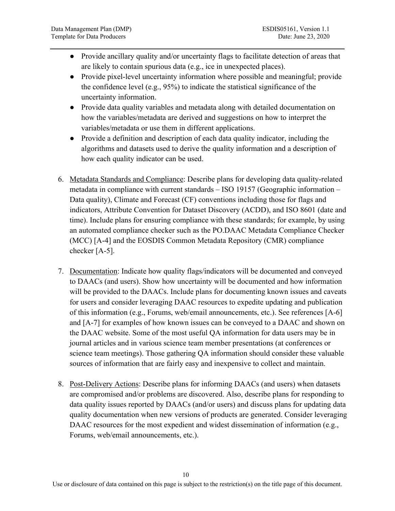- Provide ancillary quality and/or uncertainty flags to facilitate detection of areas that are likely to contain spurious data (e.g., ice in unexpected places).
- Provide pixel-level uncertainty information where possible and meaningful; provide the confidence level (e.g., 95%) to indicate the statistical significance of the uncertainty information.
- Provide data quality variables and metadata along with detailed documentation on how the variables/metadata are derived and suggestions on how to interpret the variables/metadata or use them in different applications.
- Provide a definition and description of each data quality indicator, including the algorithms and datasets used to derive the quality information and a description of how each quality indicator can be used.
- 6. Metadata Standards and Compliance: Describe plans for developing data quality-related metadata in compliance with current standards – ISO 19157 (Geographic information – Data quality), Climate and Forecast (CF) conventions including those for flags and indicators, Attribute Convention for Dataset Discovery (ACDD), and ISO 8601 (date and time). Include plans for ensuring compliance with these standards; for example, by using an automated compliance checker such as the PO.DAAC Metadata Compliance Checker (MCC) [A-4] and the EOSDIS Common Metadata Repository (CMR) compliance checker [A-5].
- 7. Documentation: Indicate how quality flags/indicators will be documented and conveyed to DAACs (and users). Show how uncertainty will be documented and how information will be provided to the DAACs. Include plans for documenting known issues and caveats for users and consider leveraging DAAC resources to expedite updating and publication of this information (e.g., Forums, web/email announcements, etc.). See references [A-6] and [A-7] for examples of how known issues can be conveyed to a DAAC and shown on the DAAC website. Some of the most useful QA information for data users may be in journal articles and in various science team member presentations (at conferences or science team meetings). Those gathering QA information should consider these valuable sources of information that are fairly easy and inexpensive to collect and maintain.
- 8. Post-Delivery Actions: Describe plans for informing DAACs (and users) when datasets are compromised and/or problems are discovered. Also, describe plans for responding to data quality issues reported by DAACs (and/or users) and discuss plans for updating data quality documentation when new versions of products are generated. Consider leveraging DAAC resources for the most expedient and widest dissemination of information (e.g., Forums, web/email announcements, etc.).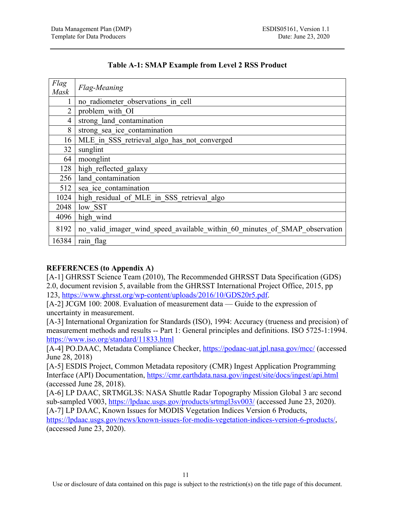| Flag<br><b>Mask</b> | Flag-Meaning                                                               |  |
|---------------------|----------------------------------------------------------------------------|--|
|                     | no radiometer observations in cell                                         |  |
| $\mathcal{D}$       | problem with OI                                                            |  |
| 4                   | strong land contamination                                                  |  |
| 8                   | strong sea ice_contamination                                               |  |
| 16                  | MLE in SSS retrieval algo has not converged                                |  |
| 32                  | sunglint                                                                   |  |
| 64                  | moonglint                                                                  |  |
| 128                 | high reflected galaxy                                                      |  |
| 256                 | land contamination                                                         |  |
| 512                 | sea ice contamination                                                      |  |
| 1024                | high residual of MLE in SSS retrieval algo                                 |  |
| 2048                | low SST                                                                    |  |
| 4096                | high wind                                                                  |  |
| 8192                | no valid imager wind speed available within 60 minutes of SMAP observation |  |
| 16384               | rain flag                                                                  |  |

#### **Table A-1: SMAP Example from Level 2 RSS Product**

#### **REFERENCES (to Appendix A)**

[A-1] GHRSST Science Team (2010), The Recommended GHRSST Data Specification (GDS) 2.0, document revision 5, available from the GHRSST International Project Office, 2015, pp 123, https://www.ghrsst.org/wp-content/uploads/2016/10/GDS20r5.pdf.

[A-2] JCGM 100: 2008. Evaluation of measurement data — Guide to the expression of uncertainty in measurement.

[A-3] International Organization for Standards (ISO), 1994: Accuracy (trueness and precision) of measurement methods and results -- Part 1: General principles and definitions. ISO 5725-1:1994. https://www.iso.org/standard/11833.html

[A-4] PO.DAAC, Metadata Compliance Checker, https://podaac-uat.jpl.nasa.gov/mcc/ (accessed June 28, 2018)

[A-5] ESDIS Project, Common Metadata repository (CMR) Ingest Application Programming Interface (API) Documentation, https://cmr.earthdata.nasa.gov/ingest/site/docs/ingest/api.html (accessed June 28, 2018).

[A-6] LP DAAC, SRTMGL3S: NASA Shuttle Radar Topography Mission Global 3 arc second sub-sampled V003, https://lpdaac.usgs.gov/products/srtmgl3sv003/ (accessed June 23, 2020).

[A-7] LP DAAC, Known Issues for MODIS Vegetation Indices Version 6 Products, https://lpdaac.usgs.gov/news/known-issues-for-modis-vegetation-indices-version-6-products/, (accessed June 23, 2020).